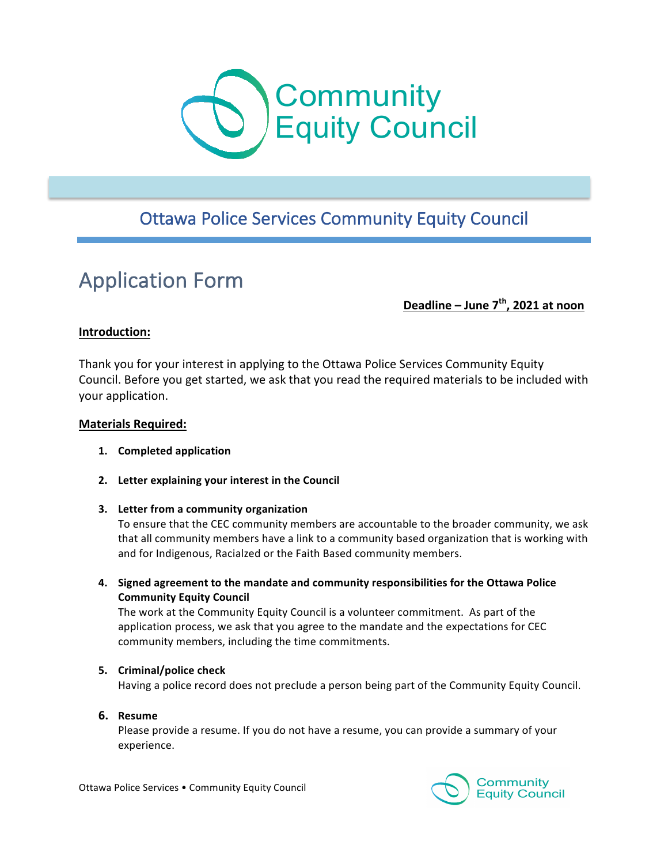

# **Ottawa Police Services Community Equity Council**

# **Application Form**

**Deadline – June 7<sup>th</sup>, 2021 at noon** 

#### **Introduction:**

Thank you for your interest in applying to the Ottawa Police Services Community Equity Council. Before you get started, we ask that you read the required materials to be included with your application.

#### **Materials Required:**

- **1. Completed application**
- **2.** Letter explaining your interest in the Council

#### **3.** Letter from a community organization

To ensure that the CEC community members are accountable to the broader community, we ask that all community members have a link to a community based organization that is working with and for Indigenous, Racialzed or the Faith Based community members.

4. Signed agreement to the mandate and community responsibilities for the Ottawa Police **Community Equity Council** 

The work at the Community Equity Council is a volunteer commitment. As part of the application process, we ask that you agree to the mandate and the expectations for CEC community members, including the time commitments.

#### **5. Criminal/police check**

Having a police record does not preclude a person being part of the Community Equity Council.

**6. Resume**

Please provide a resume. If you do not have a resume, you can provide a summary of your experience.

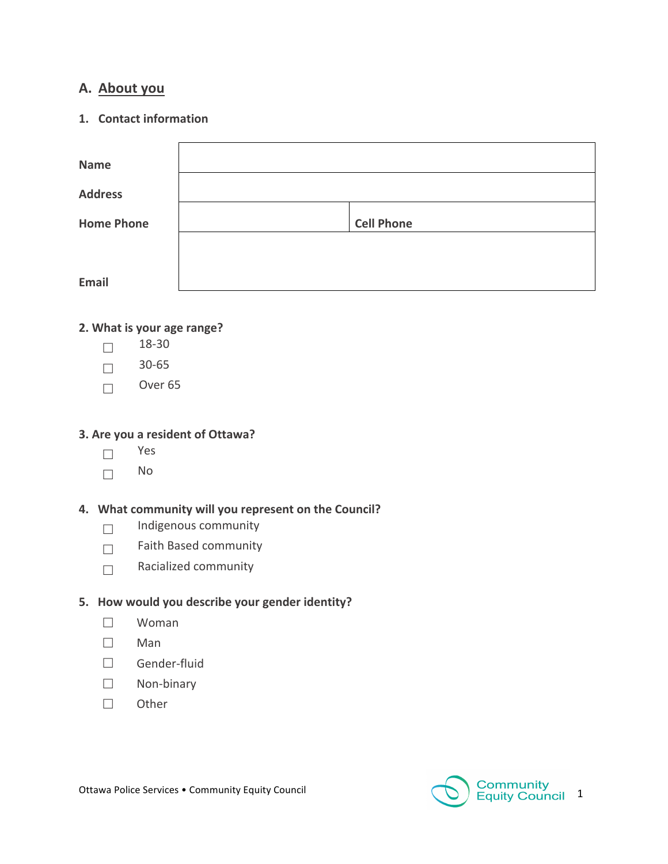# A. **About** you

#### **1.** Contact information

| <b>Name</b>       |                   |
|-------------------|-------------------|
| <b>Address</b>    |                   |
| <b>Home Phone</b> | <b>Cell Phone</b> |
|                   |                   |
| <b>Email</b>      |                   |

#### **2. What is your age range?**

- $\Box$  18-30
- $\Box$  30-65
- $\Box$  Over 65

## **3. Are you a resident of Ottawa?**

- $\Box$  Yes
- $\Box$  No

# 4. What community will you represent on the Council?

- $\Box$  Indigenous community
- $\Box$  Faith Based community
- $\Box$  Racialized community

#### **5.** How would you describe your gender identity?

- $\square$  Woman
- $\square$  Man
- £ Gender-fluid
- $\square$  Non-binary
- $\square$  Other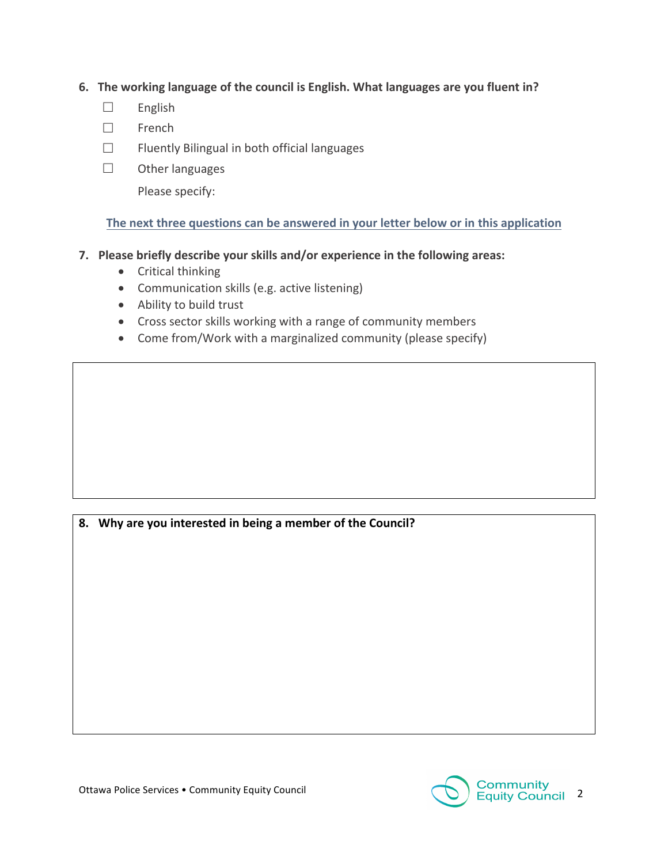## **6.** The working language of the council is English. What languages are you fluent in?

- $\square$  English
- $\square$  French
- $\Box$  Fluently Bilingual in both official languages
- $\square$  Other languages

Please specify:

# The next three questions can be answered in your letter below or in this application

# **7.** Please briefly describe your skills and/or experience in the following areas:

- Critical thinking
- Communication skills (e.g. active listening)
- Ability to build trust
- Cross sector skills working with a range of community members
- Come from/Work with a marginalized community (please specify)

8. Why are you interested in being a member of the Council?

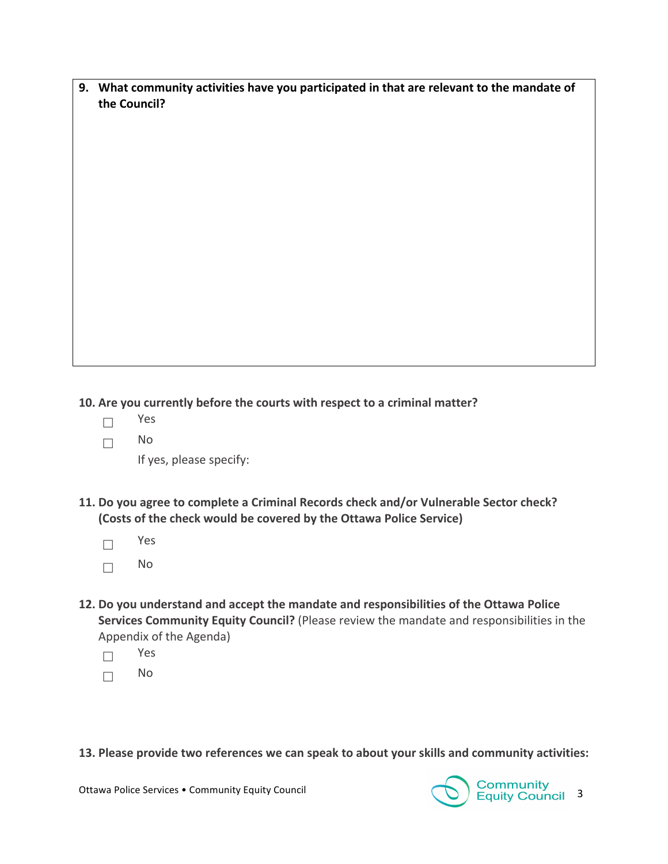9. What community activities have you participated in that are relevant to the mandate of **the Council?** 

**10.** Are you currently before the courts with respect to a criminal matter?

- $\square$  Yes
- $\Box$  No

If yes, please specify:

- 11. Do you agree to complete a Criminal Records check and/or Vulnerable Sector check? (Costs of the check would be covered by the Ottawa Police Service)
	- $\square$  Yes  $\Box$  No
- 12. Do you understand and accept the mandate and responsibilities of the Ottawa Police **Services Community Equity Council?** (Please review the mandate and responsibilities in the Appendix of the Agenda)
	- $\Box$  Yes
	- $\Box$  No

**13. Please provide two references we can speak to about your skills and community activities:** 

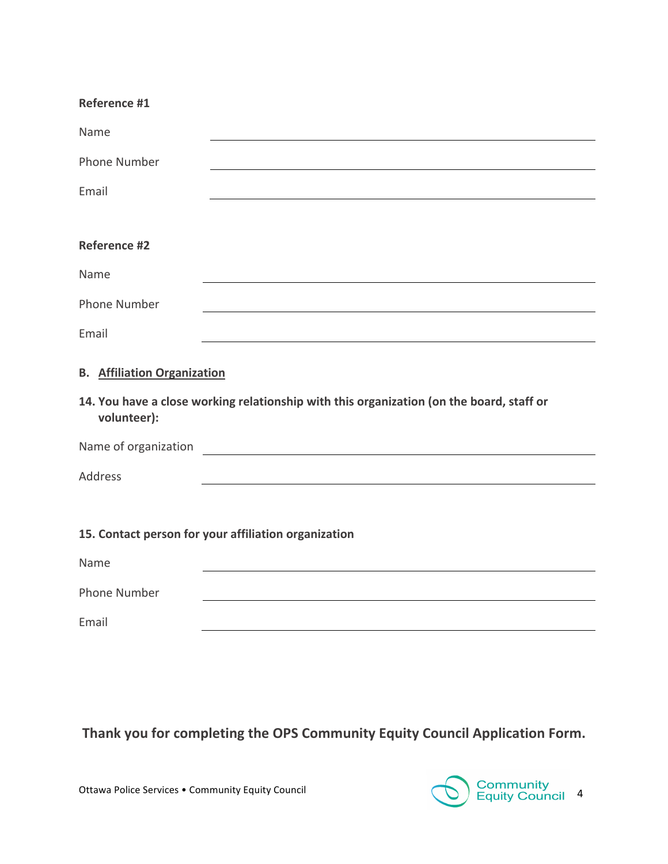| <b>Reference #1</b> |  |
|---------------------|--|
|---------------------|--|

| Name                                                 |                                                                                          |  |
|------------------------------------------------------|------------------------------------------------------------------------------------------|--|
| <b>Phone Number</b>                                  |                                                                                          |  |
| Email                                                |                                                                                          |  |
|                                                      |                                                                                          |  |
| <b>Reference #2</b>                                  |                                                                                          |  |
| Name                                                 |                                                                                          |  |
| <b>Phone Number</b>                                  |                                                                                          |  |
| Email                                                |                                                                                          |  |
| <b>B.</b> Affiliation Organization                   |                                                                                          |  |
| volunteer):                                          | 14. You have a close working relationship with this organization (on the board, staff or |  |
| Name of organization                                 | <u> 1980 - John Stein, amerikansk politiker (</u>                                        |  |
| <b>Address</b>                                       |                                                                                          |  |
|                                                      |                                                                                          |  |
| 15. Contact person for your affiliation organization |                                                                                          |  |
| Name                                                 |                                                                                          |  |
| <b>Phone Number</b>                                  |                                                                                          |  |
| Email                                                |                                                                                          |  |

# Thank you for completing the OPS Community Equity Council Application Form.